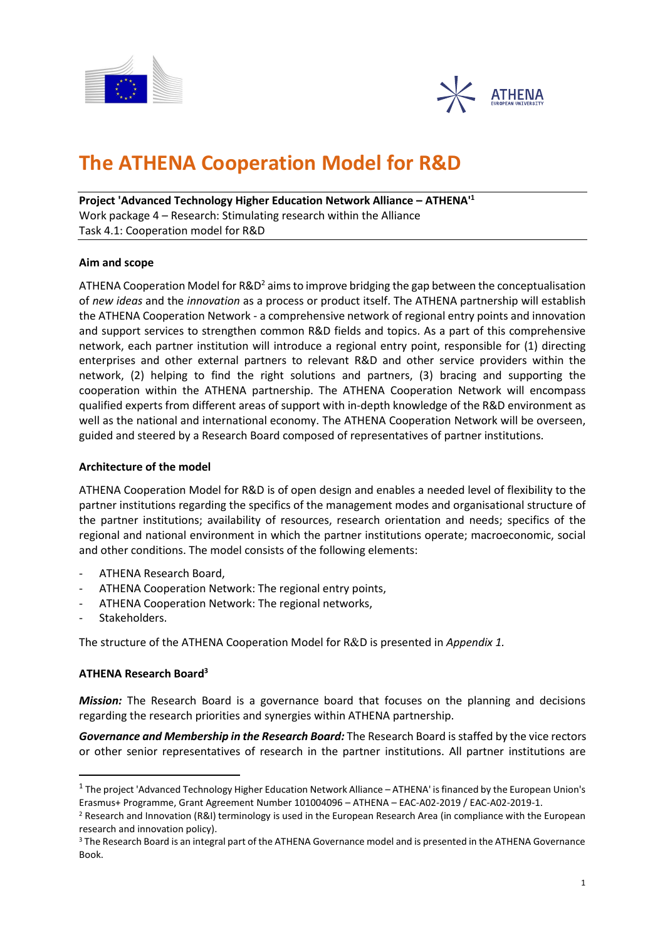



### **The ATHENA Cooperation Model for R&D**

**Project 'Advanced Technology Higher Education Network Alliance – ATHENA'<sup>1</sup>** Work package 4 – Research: Stimulating research within the Alliance Task 4.1: Cooperation model for R&D

#### **Aim and scope**

ATHENA Cooperation Model for  $R\&D^2$  aims to improve bridging the gap between the conceptualisation of *new ideas* and the *innovation* as a process or product itself. The ATHENA partnership will establish the ATHENA Cooperation Network - a comprehensive network of regional entry points and innovation and support services to strengthen common R&D fields and topics. As a part of this comprehensive network, each partner institution will introduce a regional entry point, responsible for (1) directing enterprises and other external partners to relevant R&D and other service providers within the network, (2) helping to find the right solutions and partners, (3) bracing and supporting the cooperation within the ATHENA partnership. The ATHENA Cooperation Network will encompass qualified experts from different areas of support with in-depth knowledge of the R&D environment as well as the national and international economy. The ATHENA Cooperation Network will be overseen, guided and steered by a Research Board composed of representatives of partner institutions.

#### **Architecture of the model**

ATHENA Cooperation Model for R&D is of open design and enables a needed level of flexibility to the partner institutions regarding the specifics of the management modes and organisational structure of the partner institutions; availability of resources, research orientation and needs; specifics of the regional and national environment in which the partner institutions operate; macroeconomic, social and other conditions. The model consists of the following elements:

- ATHENA Research Board,
- ATHENA Cooperation Network: The regional entry points,
- ATHENA Cooperation Network: The regional networks,
- Stakeholders.

The structure of the ATHENA Cooperation Model for R&D is presented in *Appendix 1.* 

#### **ATHENA Research Board<sup>3</sup>**

*Mission:* The Research Board is a governance board that focuses on the planning and decisions regarding the research priorities and synergies within ATHENA partnership.

*Governance and Membership in the Research Board:* The Research Board is staffed by the vice rectors or other senior representatives of research in the partner institutions. All partner institutions are

 $^1$  The project 'Advanced Technology Higher Education Network Alliance – ATHENA' is financed by the European Union's Erasmus+ Programme, Grant Agreement Number 101004096 – ATHENA – EAC-A02-2019 / EAC-A02-2019-1.

<sup>&</sup>lt;sup>2</sup> Research and Innovation (R&I) terminology is used in the European Research Area (in compliance with the European research and innovation policy).

<sup>&</sup>lt;sup>3</sup> The Research Board is an integral part of the ATHENA Governance model and is presented in the ATHENA Governance Book.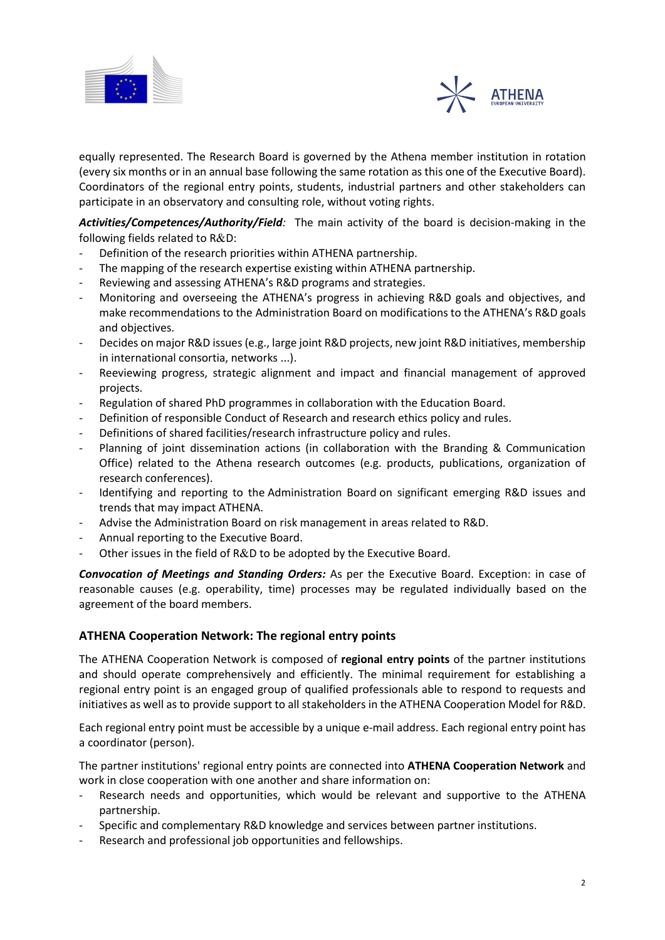



equally represented. The Research Board is governed by the Athena member institution in rotation (every six months or in an annual base following the same rotation as this one of the Executive Board). Coordinators of the regional entry points, students, industrial partners and other stakeholders can participate in an observatory and consulting role, without voting rights.

*Activities/Competences/Authority/Field:* The main activity of the board is decision-making in the following fields related to  $R&D$ :

- Definition of the research priorities within ATHENA partnership.
- The mapping of the research expertise existing within ATHENA partnership.
- Reviewing and assessing ATHENA's R&D programs and strategies.
- Monitoring and overseeing the ATHENA's progress in achieving R&D goals and objectives, and make recommendations to the Administration Board on modifications to the ATHENA's R&D goals and objectives.
- Decides on major R&D issues (e.g., large joint R&D projects, new joint R&D initiatives, membership in international consortia, networks ...).
- Reeviewing progress, strategic alignment and impact and financial management of approved projects.
- Regulation of shared PhD programmes in collaboration with the Education Board.
- Definition of responsible Conduct of Research and research ethics policy and rules.
- Definitions of shared facilities/research infrastructure policy and rules.
- Planning of joint dissemination actions (in collaboration with the Branding & Communication Office) related to the Athena research outcomes (e.g. products, publications, organization of research conferences).
- Identifying and reporting to the Administration Board on significant emerging R&D issues and trends that may impact ATHENA.
- Advise the Administration Board on risk management in areas related to R&D.
- Annual reporting to the Executive Board.
- Other issues in the field of R&D to be adopted by the Executive Board.

*Convocation of Meetings and Standing Orders:* As per the Executive Board. Exception: in case of reasonable causes (e.g. operability, time) processes may be regulated individually based on the agreement of the board members.

#### **ATHENA Cooperation Network: The regional entry points**

The ATHENA Cooperation Network is composed of **regional entry points** of the partner institutions and should operate comprehensively and efficiently. The minimal requirement for establishing a regional entry point is an engaged group of qualified professionals able to respond to requests and initiatives as well as to provide support to all stakeholders in the ATHENA Cooperation Model for R&D.

Each regional entry point must be accessible by a unique e-mail address. Each regional entry point has a coordinator (person).

The partner institutions' regional entry points are connected into **ATHENA Cooperation Network** and work in close cooperation with one another and share information on:

- Research needs and opportunities, which would be relevant and supportive to the ATHENA partnership.
- Specific and complementary R&D knowledge and services between partner institutions.
- Research and professional job opportunities and fellowships.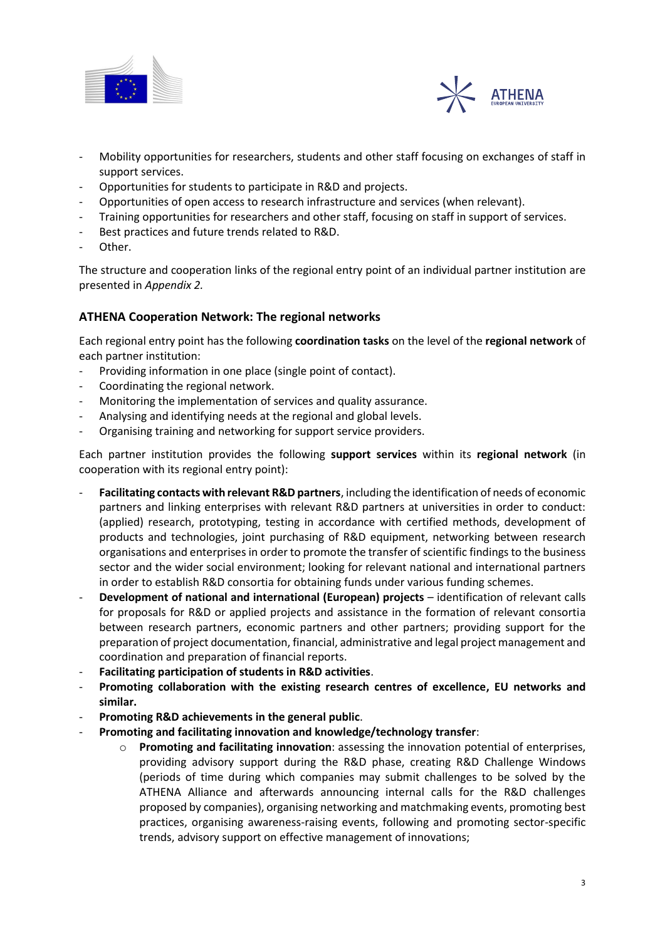



- Mobility opportunities for researchers, students and other staff focusing on exchanges of staff in support services.
- Opportunities for students to participate in R&D and projects.
- Opportunities of open access to research infrastructure and services (when relevant).
- Training opportunities for researchers and other staff, focusing on staff in support of services.
- Best practices and future trends related to R&D.
- Other.

The structure and cooperation links of the regional entry point of an individual partner institution are presented in *Appendix 2.*

#### **ATHENA Cooperation Network: The regional networks**

Each regional entry point has the following **coordination tasks** on the level of the **regional network** of each partner institution:

- Providing information in one place (single point of contact).
- Coordinating the regional network.
- Monitoring the implementation of services and quality assurance.
- Analysing and identifying needs at the regional and global levels.
- Organising training and networking for support service providers.

Each partner institution provides the following **support services** within its **regional network** (in cooperation with its regional entry point):

- **Facilitating contacts with relevant R&D partners**, including the identification of needs of economic partners and linking enterprises with relevant R&D partners at universities in order to conduct: (applied) research, prototyping, testing in accordance with certified methods, development of products and technologies, joint purchasing of R&D equipment, networking between research organisations and enterprises in order to promote the transfer of scientific findings to the business sector and the wider social environment; looking for relevant national and international partners in order to establish R&D consortia for obtaining funds under various funding schemes.
- **Development of national and international (European) projects**  identification of relevant calls for proposals for R&D or applied projects and assistance in the formation of relevant consortia between research partners, economic partners and other partners; providing support for the preparation of project documentation, financial, administrative and legal project management and coordination and preparation of financial reports.
- **Facilitating participation of students in R&D activities**.
- Promoting collaboration with the existing research centres of excellence, EU networks and **similar.**
- **Promoting R&D achievements in the general public**.
- **Promoting and facilitating innovation and knowledge/technology transfer**:
	- o **Promoting and facilitating innovation**: assessing the innovation potential of enterprises, providing advisory support during the R&D phase, creating R&D Challenge Windows (periods of time during which companies may submit challenges to be solved by the ATHENA Alliance and afterwards announcing internal calls for the R&D challenges proposed by companies), organising networking and matchmaking events, promoting best practices, organising awareness-raising events, following and promoting sector-specific trends, advisory support on effective management of innovations;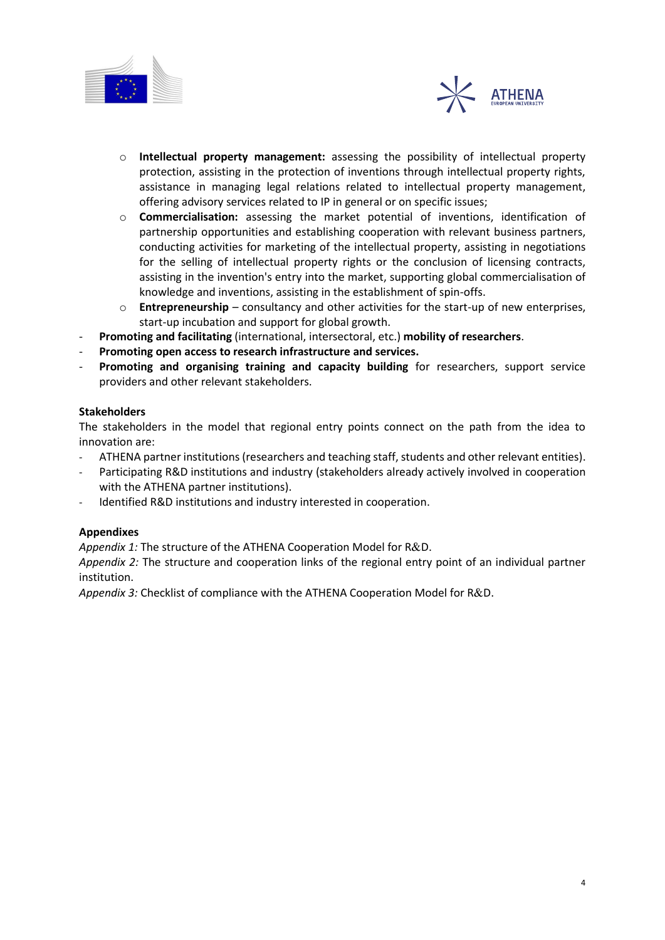



- o **Intellectual property management:** assessing the possibility of intellectual property protection, assisting in the protection of inventions through intellectual property rights, assistance in managing legal relations related to intellectual property management, offering advisory services related to IP in general or on specific issues;
- o **Commercialisation:** assessing the market potential of inventions, identification of partnership opportunities and establishing cooperation with relevant business partners, conducting activities for marketing of the intellectual property, assisting in negotiations for the selling of intellectual property rights or the conclusion of licensing contracts, assisting in the invention's entry into the market, supporting global commercialisation of knowledge and inventions, assisting in the establishment of spin-offs.
- o **Entrepreneurship**  consultancy and other activities for the start-up of new enterprises, start-up incubation and support for global growth.
- **Promoting and facilitating** (international, intersectoral, etc.) **mobility of researchers**.
- **Promoting open access to research infrastructure and services.**
- **Promoting and organising training and capacity building** for researchers, support service providers and other relevant stakeholders.

#### **Stakeholders**

The stakeholders in the model that regional entry points connect on the path from the idea to innovation are:

- ATHENA partner institutions (researchers and teaching staff, students and other relevant entities).
- Participating R&D institutions and industry (stakeholders already actively involved in cooperation with the ATHENA partner institutions).
- Identified R&D institutions and industry interested in cooperation.

#### **Appendixes**

*Appendix 1:* The structure of the ATHENA Cooperation Model for R&D.

*Appendix 2:* The structure and cooperation links of the regional entry point of an individual partner institution.

Appendix 3: Checklist of compliance with the ATHENA Cooperation Model for R&D.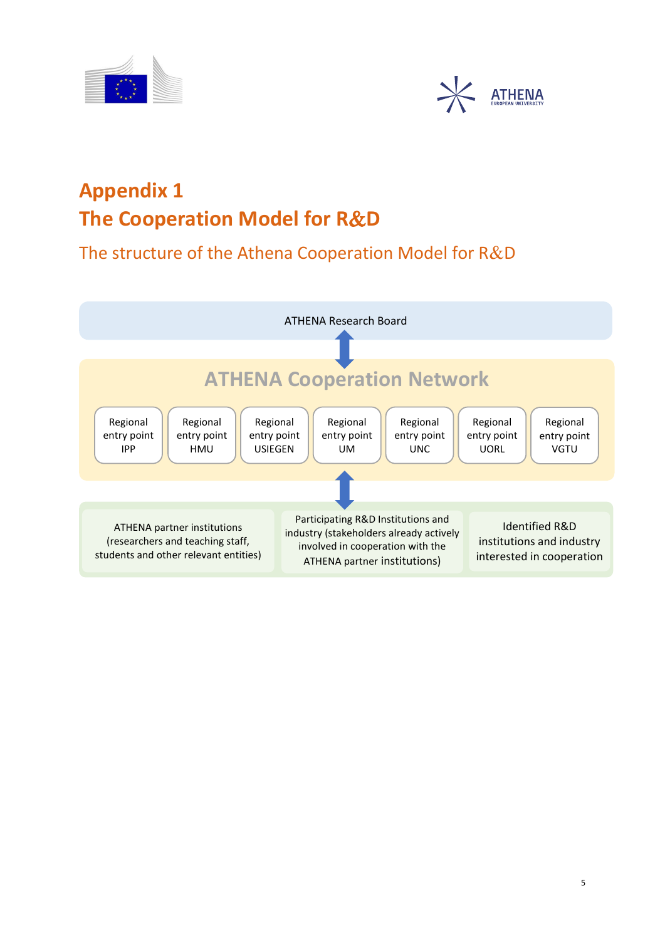



## **Appendix 1 The Cooperation Model for R&D**

The structure of the Athena Cooperation Model for  $R&D$ 

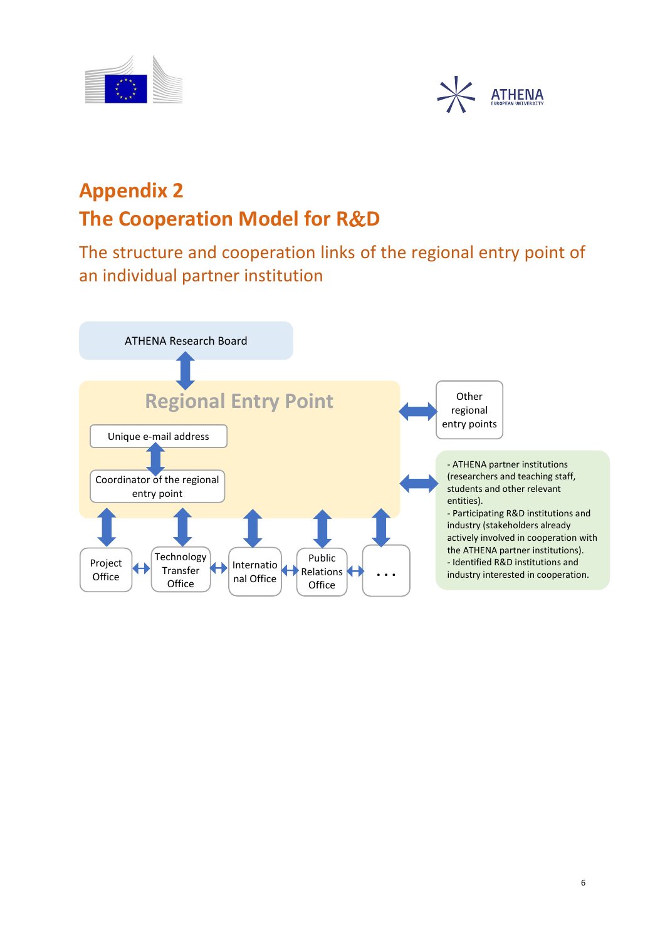



# **Appendix 2 The Cooperation Model for R&D**

The structure and cooperation links of the regional entry point of an individual partner institution

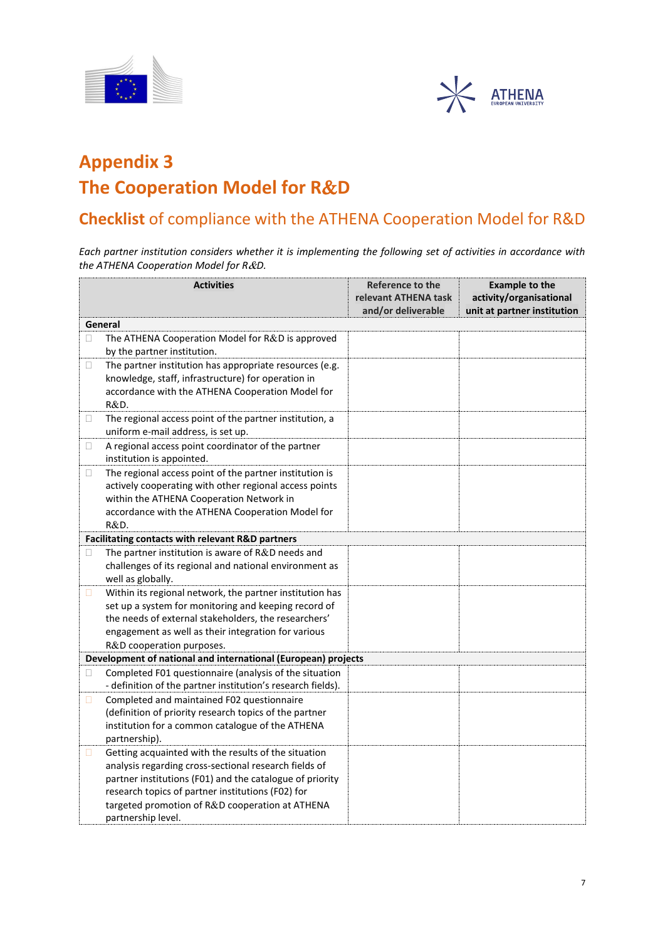



### **Appendix 3 The Cooperation Model for R&D**

### **Checklist** of compliance with the ATHENA Cooperation Model for R&D

*Each partner institution considers whether it is implementing the following set of activities in accordance with the ATHENA Cooperation Model for R&D.* 

|         | <b>Activities</b>                                                                                                                                                                                                                                                                                       | Reference to the<br>relevant ATHENA task<br>and/or deliverable | <b>Example to the</b><br>activity/organisational<br>unit at partner institution |  |  |  |
|---------|---------------------------------------------------------------------------------------------------------------------------------------------------------------------------------------------------------------------------------------------------------------------------------------------------------|----------------------------------------------------------------|---------------------------------------------------------------------------------|--|--|--|
| General |                                                                                                                                                                                                                                                                                                         |                                                                |                                                                                 |  |  |  |
| □       | The ATHENA Cooperation Model for R&D is approved<br>by the partner institution.                                                                                                                                                                                                                         |                                                                |                                                                                 |  |  |  |
| $\Box$  | The partner institution has appropriate resources (e.g.<br>knowledge, staff, infrastructure) for operation in<br>accordance with the ATHENA Cooperation Model for<br>R&D.                                                                                                                               |                                                                |                                                                                 |  |  |  |
| □       | The regional access point of the partner institution, a<br>uniform e-mail address, is set up.                                                                                                                                                                                                           |                                                                |                                                                                 |  |  |  |
| O.      | A regional access point coordinator of the partner<br>institution is appointed.                                                                                                                                                                                                                         |                                                                |                                                                                 |  |  |  |
| $\Box$  | The regional access point of the partner institution is<br>actively cooperating with other regional access points<br>within the ATHENA Cooperation Network in<br>accordance with the ATHENA Cooperation Model for<br>R&D.                                                                               |                                                                |                                                                                 |  |  |  |
|         | Facilitating contacts with relevant R&D partners                                                                                                                                                                                                                                                        |                                                                |                                                                                 |  |  |  |
| Ш       | The partner institution is aware of R&D needs and<br>challenges of its regional and national environment as<br>well as globally.                                                                                                                                                                        |                                                                |                                                                                 |  |  |  |
| Π.      | Within its regional network, the partner institution has<br>set up a system for monitoring and keeping record of<br>the needs of external stakeholders, the researchers'<br>engagement as well as their integration for various<br>R&D cooperation purposes.                                            |                                                                |                                                                                 |  |  |  |
|         | Development of national and international (European) projects                                                                                                                                                                                                                                           |                                                                |                                                                                 |  |  |  |
| O.      | Completed F01 questionnaire (analysis of the situation<br>- definition of the partner institution's research fields).                                                                                                                                                                                   |                                                                |                                                                                 |  |  |  |
| П       | Completed and maintained F02 questionnaire<br>(definition of priority research topics of the partner<br>institution for a common catalogue of the ATHENA<br>partnership).                                                                                                                               |                                                                |                                                                                 |  |  |  |
| $\Box$  | Getting acquainted with the results of the situation<br>analysis regarding cross-sectional research fields of<br>partner institutions (F01) and the catalogue of priority<br>research topics of partner institutions (F02) for<br>targeted promotion of R&D cooperation at ATHENA<br>partnership level. |                                                                |                                                                                 |  |  |  |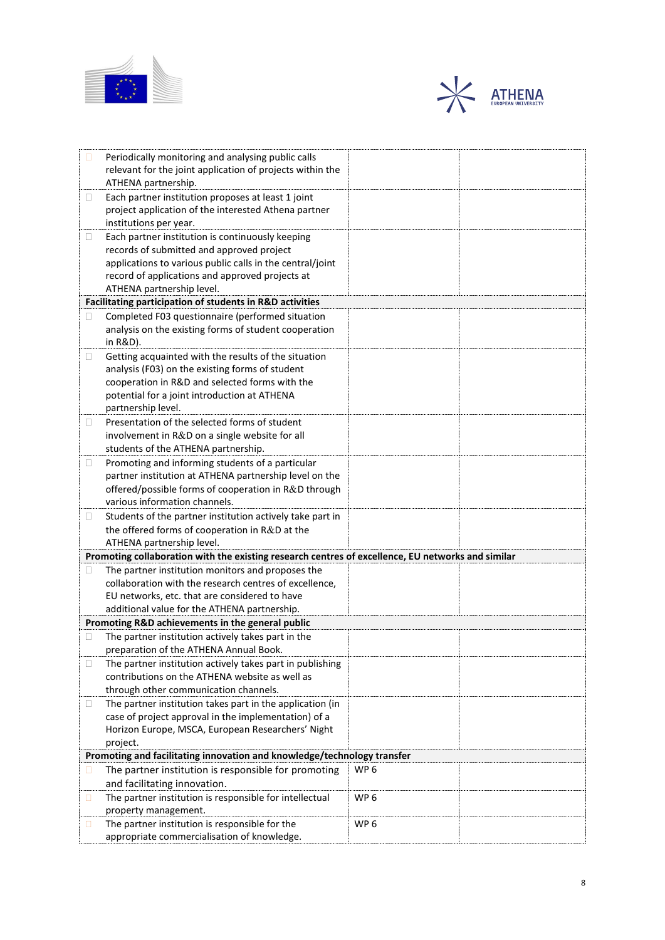



| □ | Periodically monitoring and analysing public calls<br>relevant for the joint application of projects within the<br>ATHENA partnership.                                                                                                     |                 |  |  |  |  |  |
|---|--------------------------------------------------------------------------------------------------------------------------------------------------------------------------------------------------------------------------------------------|-----------------|--|--|--|--|--|
| □ | Each partner institution proposes at least 1 joint<br>project application of the interested Athena partner<br>institutions per year.                                                                                                       |                 |  |  |  |  |  |
| □ | Each partner institution is continuously keeping<br>records of submitted and approved project<br>applications to various public calls in the central/joint<br>record of applications and approved projects at<br>ATHENA partnership level. |                 |  |  |  |  |  |
|   | Facilitating participation of students in R&D activities                                                                                                                                                                                   |                 |  |  |  |  |  |
| П | Completed F03 questionnaire (performed situation<br>analysis on the existing forms of student cooperation<br>in R&D).                                                                                                                      |                 |  |  |  |  |  |
| □ | Getting acquainted with the results of the situation<br>analysis (F03) on the existing forms of student<br>cooperation in R&D and selected forms with the<br>potential for a joint introduction at ATHENA<br>partnership level.            |                 |  |  |  |  |  |
| □ | Presentation of the selected forms of student<br>involvement in R&D on a single website for all<br>students of the ATHENA partnership.                                                                                                     |                 |  |  |  |  |  |
| □ | Promoting and informing students of a particular<br>partner institution at ATHENA partnership level on the<br>offered/possible forms of cooperation in R&D through<br>various information channels.                                        |                 |  |  |  |  |  |
| □ | Students of the partner institution actively take part in<br>the offered forms of cooperation in R&D at the<br>ATHENA partnership level.                                                                                                   |                 |  |  |  |  |  |
|   | Promoting collaboration with the existing research centres of excellence, EU networks and similar                                                                                                                                          |                 |  |  |  |  |  |
| □ | The partner institution monitors and proposes the<br>collaboration with the research centres of excellence,<br>EU networks, etc. that are considered to have<br>additional value for the ATHENA partnership.                               |                 |  |  |  |  |  |
|   | Promoting R&D achievements in the general public                                                                                                                                                                                           |                 |  |  |  |  |  |
| □ | The partner institution actively takes part in the<br>preparation of the ATHENA Annual Book.                                                                                                                                               |                 |  |  |  |  |  |
| □ | The partner institution actively takes part in publishing<br>contributions on the ATHENA website as well as<br>through other communication channels.                                                                                       |                 |  |  |  |  |  |
| □ | The partner institution takes part in the application (in<br>case of project approval in the implementation) of a<br>Horizon Europe, MSCA, European Researchers' Night<br>project.                                                         |                 |  |  |  |  |  |
|   | Promoting and facilitating innovation and knowledge/technology transfer                                                                                                                                                                    |                 |  |  |  |  |  |
| □ | The partner institution is responsible for promoting<br>and facilitating innovation.                                                                                                                                                       | WP <sub>6</sub> |  |  |  |  |  |
| □ | The partner institution is responsible for intellectual<br>property management.                                                                                                                                                            | WP <sub>6</sub> |  |  |  |  |  |
| о | The partner institution is responsible for the<br>appropriate commercialisation of knowledge.                                                                                                                                              | WP <sub>6</sub> |  |  |  |  |  |